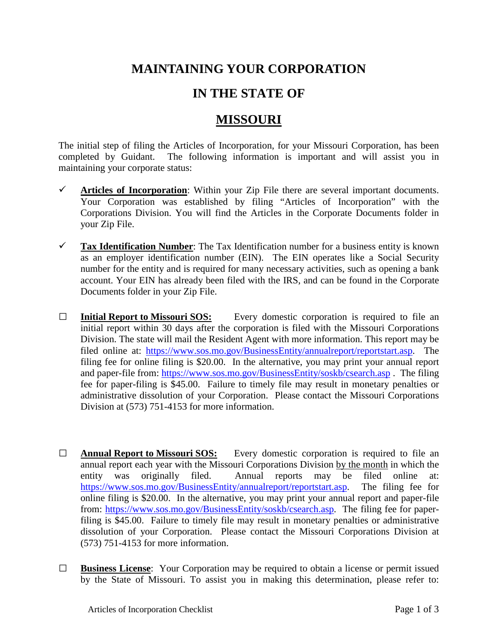## **MAINTAINING YOUR CORPORATION**

## **IN THE STATE OF**

## **MISSOURI**

The initial step of filing the Articles of Incorporation, for your Missouri Corporation, has been completed by Guidant. The following information is important and will assist you in maintaining your corporate status:

- $\checkmark$  Articles of Incorporation: Within your Zip File there are several important documents. Your Corporation was established by filing "Articles of Incorporation" with the Corporations Division. You will find the Articles in the Corporate Documents folder in your Zip File.
- **Tax Identification Number**: The Tax Identification number for a business entity is known as an employer identification number (EIN). The EIN operates like a Social Security number for the entity and is required for many necessary activities, such as opening a bank account. Your EIN has already been filed with the IRS, and can be found in the Corporate Documents folder in your Zip File.
- **□ Initial Report to Missouri SOS:** Every domestic corporation is required to file an initial report within 30 days after the corporation is filed with the Missouri Corporations Division. The state will mail the Resident Agent with more information. This report may be filed online at: [https://www.sos.mo.gov/BusinessEntity/annualreport/reportstart.asp.](https://www.sos.mo.gov/BusinessEntity/annualreport/reportstart.asp) The filing fee for online filing is \$20.00. In the alternative, you may print your annual report and paper-file from:<https://www.sos.mo.gov/BusinessEntity/soskb/csearch.asp> . The filing fee for paper-filing is \$45.00. Failure to timely file may result in monetary penalties or administrative dissolution of your Corporation. Please contact the Missouri Corporations Division at (573) 751-4153 for more information.
- **□ Annual Report to Missouri SOS:** Every domestic corporation is required to file an annual report each year with the Missouri Corporations Division by the month in which the entity was originally filed. Annual reports may be filed online at: [https://www.sos.mo.gov/BusinessEntity/annualreport/reportstart.asp.](https://www.sos.mo.gov/BusinessEntity/annualreport/reportstart.asp) The filing fee for online filing is \$20.00. In the alternative, you may print your annual report and paper-file from: [https://www.sos.mo.gov/BusinessEntity/soskb/csearch.asp.](https://www.sos.mo.gov/BusinessEntity/soskb/csearch.asp) The filing fee for paperfiling is \$45.00. Failure to timely file may result in monetary penalties or administrative dissolution of your Corporation. Please contact the Missouri Corporations Division at (573) 751-4153 for more information.
- **□ Business License**: Your Corporation may be required to obtain a license or permit issued by the State of Missouri. To assist you in making this determination, please refer to: